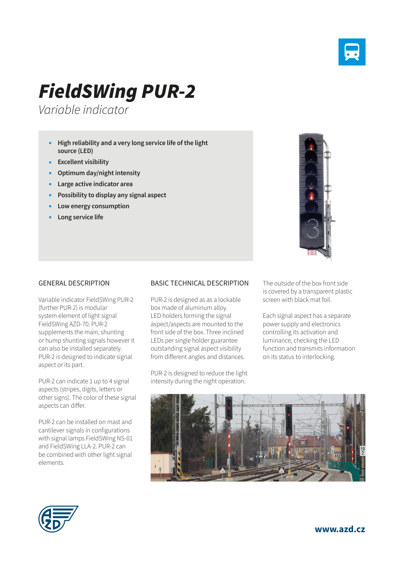

## *FieldSWing PUR-2*

*Variable indicator*

- **High reliability and a very long service life of the light source (LED)**
- **Excellent visibility**
- **Optimum day/night intensity**
- **Large active indicator area**
- **Possibility to display any signal aspect**
- **Low energy consumption**
- **Long service life**



## GENERAL DESCRIPTION

Variable indicator FieldSWing PUR-2 (further PUR-2) is modular system element of light signal FieldSWing AZD-70. PUR-2 supplements the main, shunting or hump shunting signals however it can also be installed separately. PUR-2 is designed to indicate signal aspect or its part.

PUR-2 can indicate 1 up to 4 signal aspects (stripes, digits, letters or other signs). The color of these signal aspects can differ.

PUR-2 can be installed on mast and cantilever signals in configurations with signal lamps FieldSWing NS-01 and FieldSWing LLA-2. PUR-2 can be combined with other light signal elements.

## BASIC TECHNICAL DESCRIPTION

PUR-2 is designed as as a lockable box made of aluminum alloy. LED holders forming the signal aspect/aspects are mounted to the front side of the box. Three inclined LEDs per single holder guarantee outstanding signal aspect visibility from different angles and distances.

PUR-2 is designed to reduce the light intensity during the night operation.

The outside of the box front side is covered by a transparent plastic screen with black mat foil.

Each signal aspect has a separate power supply and electronics controlling its activation and luminance, checking the LED function and transmits information on its status to interlocking.